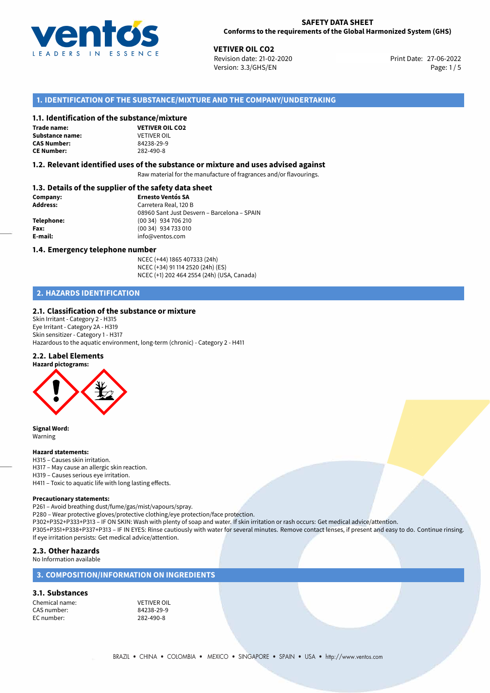

27-06-2022 **VETIVER OIL CO2** Revision date: 21-02-2020 Print Date: Version: 3.3/GHS/EN Page: 1/5

# **1. IDENTIFICATION OF THE SUBSTANCE/MIXTURE AND THE COMPANY/UNDERTAKING**

## **1.1. Identification of the substance/mixture**

**Trade name: Substance name:** VETIVER OIL<br> **CAS Number:** 84238-29-9 **CAS Number: CE Number:** 282-490-8



## **1.2. Relevant identified uses of the substance or mixture and uses advised against**

Raw material for the manufacture of fragrances and/or flavourings.

## **1.3. Details of the supplier of the safety data sheet**

| Company:        | <b>Ernesto Ventós SA</b>                    |  |
|-----------------|---------------------------------------------|--|
| <b>Address:</b> | Carretera Real, 120 B                       |  |
|                 | 08960 Sant Just Desvern - Barcelona - SPAIN |  |
| Telephone:      | (00 34) 934 706 210                         |  |
| Fax:            | (00 34) 934 733 010                         |  |
| E-mail:         | info@ventos.com                             |  |
|                 |                                             |  |

## **1.4. Emergency telephone number**

NCEC (+44) 1865 407333 (24h) NCEC (+34) 91 114 2520 (24h) (ES) NCEC (+1) 202 464 2554 (24h) (USA, Canada)

# **2. HAZARDS IDENTIFICATION**

## **2.1. Classification of the substance or mixture**

Skin Irritant - Category 2 - H315 Eye Irritant - Category 2A - H319 Skin sensitizer - Category 1 - H317 Hazardous to the aquatic environment, long-term (chronic) - Category 2 - H411

## **2.2. Label Elements**



**Signal Word:** Warning

### **Hazard statements:**

H315 – Causes skin irritation.

H317 – May cause an allergic skin reaction.

H319 – Causes serious eye irritation.

H411 – Toxic to aquatic life with long lasting effects.

## **Precautionary statements:**

P261 – Avoid breathing dust/fume/gas/mist/vapours/spray.

P280 – Wear protective gloves/protective clothing/eye protection/face protection.

P302+P352+P333+P313 – IF ON SKIN: Wash with plenty of soap and water. If skin irritation or rash occurs: Get medical advice/attention. P305+P351+P338+P337+P313 – IF IN EYES: Rinse cautiously with water for several minutes. Remove contact lenses, if present and easy to do. Continue rinsing. If eye irritation persists: Get medical advice/attention.

## **2.3. Other hazards**

## No Information available

## **3. COMPOSITION/INFORMATION ON INGREDIENTS**

## **3.1. Substances**

Chemical name: VETIVER OIL CAS number: EC number: 282-490-8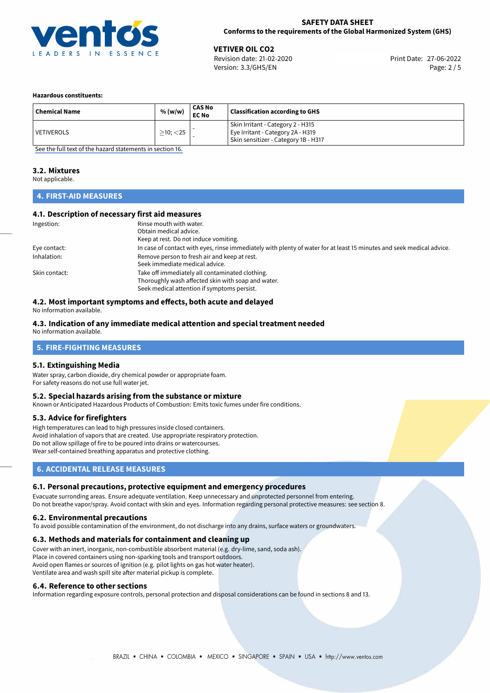

27-06-2022 **VETIVER OIL CO2** Revision date: 21-02-2020 Print Date: Version: 3.3/GHS/EN Page: 2 / 5

## **Hazardous constituents:**

| <b>Chemical Name</b> | % (w/w)           | <b>CAS No</b><br><b>EC No</b> | <b>Classification according to GHS</b>                                                                         |
|----------------------|-------------------|-------------------------------|----------------------------------------------------------------------------------------------------------------|
| VETIVEROLS           | $\geq$ 10; $<$ 25 |                               | Skin Irritant - Category 2 - H315<br>Eye Irritant - Category 2A - H319<br>Skin sensitizer - Category 1B - H317 |

[See the full text of the hazard statements in section 16.](#page-4-0)

## **3.2. Mixtures**

Not applicable.

# **4. FIRST-AID MEASURES**

## **4.1. Description of necessary first aid measures**

| Ingestion:    | Rinse mouth with water.                                                                                               |
|---------------|-----------------------------------------------------------------------------------------------------------------------|
|               | Obtain medical advice.                                                                                                |
|               | Keep at rest. Do not induce vomiting.                                                                                 |
| Eye contact:  | In case of contact with eyes, rinse immediately with plenty of water for at least 15 minutes and seek medical advice. |
| Inhalation:   | Remove person to fresh air and keep at rest.                                                                          |
|               | Seek immediate medical advice.                                                                                        |
| Skin contact: | Take off immediately all contaminated clothing.                                                                       |
|               | Thoroughly wash affected skin with soap and water.                                                                    |
|               | Seek medical attention if symptoms persist.                                                                           |

# **4.2. Most important symptoms and effects, both acute and delayed**

No information available.

## **4.3. Indication of any immediate medical attention and special treatment needed**

No information available.

# **5. FIRE-FIGHTING MEASURES**

## **5.1. Extinguishing Media**

Water spray, carbon dioxide, dry chemical powder or appropriate foam. For safety reasons do not use full water jet.

## **5.2. Special hazards arising from the substance or mixture**

Known or Anticipated Hazardous Products of Combustion: Emits toxic fumes under fire conditions.

## **5.3. Advice for firefighters**

High temperatures can lead to high pressures inside closed containers. Avoid inhalation of vapors that are created. Use appropriate respiratory protection. Do not allow spillage of fire to be poured into drains or watercourses. Wear self-contained breathing apparatus and protective clothing.

# **6. ACCIDENTAL RELEASE MEASURES**

## **6.1. Personal precautions, protective equipment and emergency procedures**

Evacuate surronding areas. Ensure adequate ventilation. Keep unnecessary and unprotected personnel from entering. Do not breathe vapor/spray. Avoid contact with skin and eyes. Information regarding personal protective measures: see section 8.

## **6.2. Environmental precautions**

To avoid possible contamination of the environment, do not discharge into any drains, surface waters or groundwaters.

## **6.3. Methods and materials for containment and cleaning up**

Cover with an inert, inorganic, non-combustible absorbent material (e.g. dry-lime, sand, soda ash). Place in covered containers using non-sparking tools and transport outdoors. Avoid open flames or sources of ignition (e.g. pilot lights on gas hot water heater). Ventilate area and wash spill site after material pickup is complete.

## **6.4. Reference to other sections**

Information regarding exposure controls, personal protection and disposal considerations can be found in sections 8 and 13.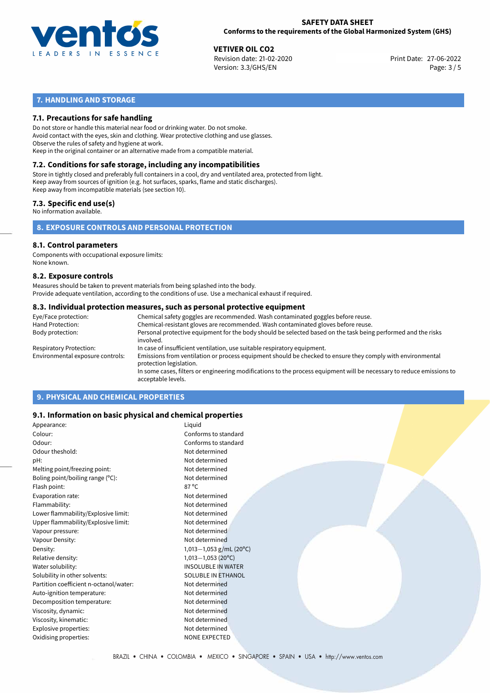

27-06-2022 **VETIVER OIL CO2** Revision date: 21-02-2020 Print Date: Version: 3.3/GHS/EN Page: 3 / 5

# **7. HANDLING AND STORAGE**

# **7.1. Precautions for safe handling**

Do not store or handle this material near food or drinking water. Do not smoke. Avoid contact with the eyes, skin and clothing. Wear protective clothing and use glasses. Observe the rules of safety and hygiene at work. Keep in the original container or an alternative made from a compatible material.

# **7.2. Conditions for safe storage, including any incompatibilities**

Store in tightly closed and preferably full containers in a cool, dry and ventilated area, protected from light. Keep away from sources of ignition (e.g. hot surfaces, sparks, flame and static discharges). Keep away from incompatible materials (see section 10).

## **7.3. Specific end use(s)**

No information available.

**8. EXPOSURE CONTROLS AND PERSONAL PROTECTION**

# **8.1. Control parameters**

Components with occupational exposure limits: None known.

## **8.2. Exposure controls**

Measures should be taken to prevent materials from being splashed into the body. Provide adequate ventilation, according to the conditions of use. Use a mechanical exhaust if required.

## **8.3. Individual protection measures, such as personal protective equipment**

| Eye/Face protection:             | Chemical safety goggles are recommended. Wash contaminated goggles before reuse.                                                            |
|----------------------------------|---------------------------------------------------------------------------------------------------------------------------------------------|
| Hand Protection:                 | Chemical-resistant gloves are recommended. Wash contaminated gloves before reuse.                                                           |
| Body protection:                 | Personal protective equipment for the body should be selected based on the task being performed and the risks<br>involved.                  |
| Respiratory Protection:          | In case of insufficient ventilation, use suitable respiratory equipment.                                                                    |
| Environmental exposure controls: | Emissions from ventilation or process equipment should be checked to ensure they comply with environmental<br>protection legislation.       |
|                                  | In some cases, filters or engineering modifications to the process equipment will be necessary to reduce emissions to<br>acceptable levels. |
|                                  |                                                                                                                                             |

# **9. PHYSICAL AND CHEMICAL PROPERTIES**

## **9.1. Information on basic physical and chemical properties**

| Appearance:                            | Liquid                    |
|----------------------------------------|---------------------------|
| Colour:                                | Conforms to standard      |
| Odour:                                 | Conforms to standard      |
| Odour theshold:                        | Not determined            |
| pH:                                    | Not determined            |
| Melting point/freezing point:          | Not determined            |
| Boling point/boiling range $(°C)$ :    | Not determined            |
| Flash point:                           | $87^{\circ}$ C            |
| Evaporation rate:                      | Not determined            |
| Flammability:                          | Not determined            |
| Lower flammability/Explosive limit:    | Not determined            |
| Upper flammability/Explosive limit:    | Not determined            |
| Vapour pressure:                       | Not determined            |
| Vapour Density:                        | Not determined            |
| Density:                               | 1,013-1,053 g/mL (20°C)   |
| Relative density:                      | $1,013 - 1,053$ (20°C)    |
| Water solubility:                      | <b>INSOLUBLE IN WATER</b> |
| Solubility in other solvents:          | <b>SOLUBLE IN ETHANOL</b> |
| Partition coefficient n-octanol/water: | Not determined            |
| Auto-ignition temperature:             | Not determined            |
| Decomposition temperature:             | Not determined            |
| Viscosity, dynamic:                    | Not determined            |
| Viscosity, kinematic:                  | Not determined            |
| Explosive properties:                  | Not determined            |
| Oxidising properties:                  | <b>NONE EXPECTED</b>      |
|                                        |                           |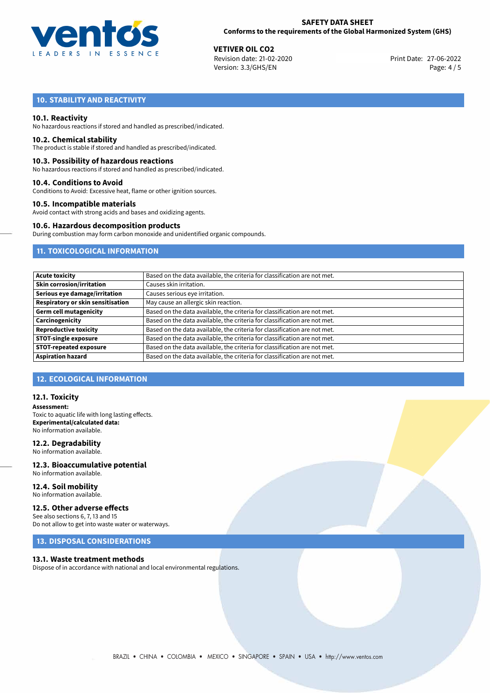

27-06-2022 **VETIVER OIL CO2** Revision date: 21-02-2020 Print Date: Version: 3.3/GHS/EN Page: 4 / 5

# **10. STABILITY AND REACTIVITY**

## **10.1. Reactivity**

No hazardous reactions if stored and handled as prescribed/indicated.

## **10.2. Chemical stability**

The product is stable if stored and handled as prescribed/indicated.

## **10.3. Possibility of hazardous reactions**

No hazardous reactions if stored and handled as prescribed/indicated.

## **10.4. Conditions to Avoid**

Conditions to Avoid: Excessive heat, flame or other ignition sources.

## **10.5. Incompatible materials**

Avoid contact with strong acids and bases and oxidizing agents.

## **10.6. Hazardous decomposition products**

During combustion may form carbon monoxide and unidentified organic compounds.

# **11. TOXICOLOGICAL INFORMATION**

| <b>Acute toxicity</b>             | Based on the data available, the criteria for classification are not met. |
|-----------------------------------|---------------------------------------------------------------------------|
| <b>Skin corrosion/irritation</b>  | Causes skin irritation.                                                   |
| Serious eye damage/irritation     | Causes serious eye irritation.                                            |
| Respiratory or skin sensitisation | May cause an allergic skin reaction.                                      |
| <b>Germ cell mutagenicity</b>     | Based on the data available, the criteria for classification are not met. |
| Carcinogenicity                   | Based on the data available, the criteria for classification are not met. |
| <b>Reproductive toxicity</b>      | Based on the data available, the criteria for classification are not met. |
| <b>STOT-single exposure</b>       | Based on the data available, the criteria for classification are not met. |
| <b>STOT-repeated exposure</b>     | Based on the data available, the criteria for classification are not met. |
| <b>Aspiration hazard</b>          | Based on the data available, the criteria for classification are not met. |

# **12. ECOLOGICAL INFORMATION**

## **12.1. Toxicity**

**Assessment:** Toxic to aquatic life with long lasting effects. **Experimental/calculated data:** No information available.

## **12.2. Degradability**

No information available.

## **12.3. Bioaccumulative potential** No information available.

**12.4. Soil mobility** No information available.

# **12.5. Other adverse effects**

See also sections 6, 7, 13 and 15 Do not allow to get into waste water or waterways.

# **13. DISPOSAL CONSIDERATIONS**

## **13.1. Waste treatment methods**

Dispose of in accordance with national and local environmental regulations.